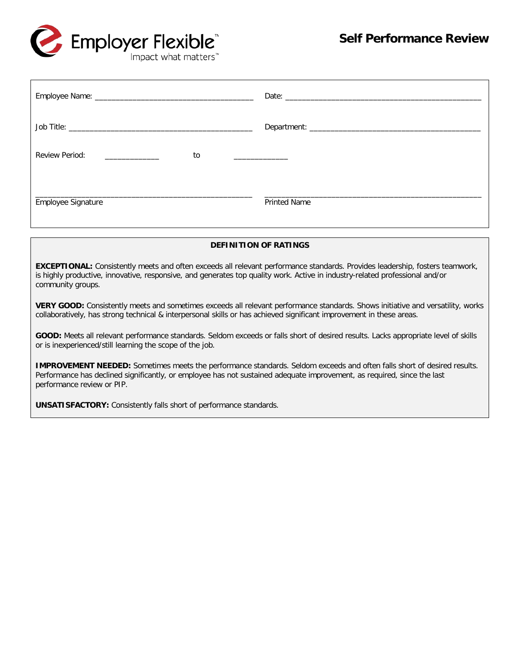

| Review Period:<br>to |                     |
|----------------------|---------------------|
| Employee Signature   | <b>Printed Name</b> |

#### **DEFINITION OF RATINGS**

**EXCEPTIONAL:** Consistently meets and often exceeds all relevant performance standards. Provides leadership, fosters teamwork, is highly productive, innovative, responsive, and generates top quality work. Active in industry-related professional and/or community groups.

**VERY GOOD:** Consistently meets and sometimes exceeds all relevant performance standards. Shows initiative and versatility, works collaboratively, has strong technical & interpersonal skills or has achieved significant improvement in these areas.

**GOOD:** Meets all relevant performance standards. Seldom exceeds or falls short of desired results. Lacks appropriate level of skills or is inexperienced/still learning the scope of the job.

**IMPROVEMENT NEEDED:** Sometimes meets the performance standards. Seldom exceeds and often falls short of desired results. Performance has declined significantly, or employee has not sustained adequate improvement, as required, since the last performance review or PIP.

**UNSATISFACTORY:** Consistently falls short of performance standards.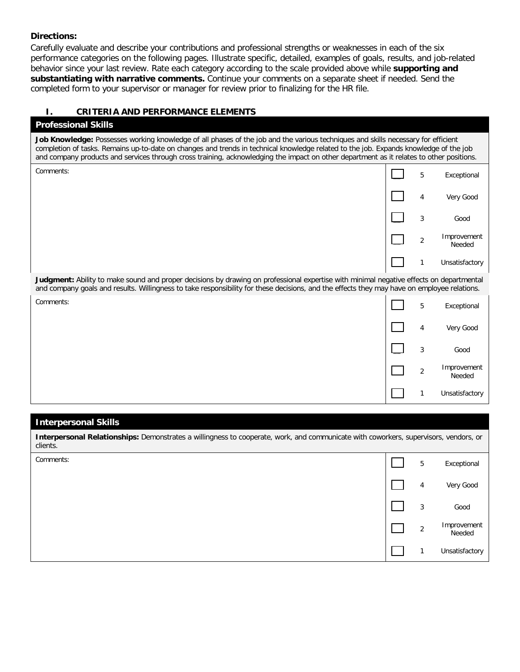#### **Directions:**

Carefully evaluate and describe your contributions and professional strengths or weaknesses in each of the six performance categories on the following pages. Illustrate specific, detailed, examples of goals, results, and job-related behavior since your last review. Rate each category according to the scale provided above while **supporting and substantiating with narrative comments.** Continue your comments on a separate sheet if needed. Send the completed form to your supervisor or manager for review prior to finalizing for the HR file.

### **I. CRITERIA AND PERFORMANCE ELEMENTS**

#### **Professional Skills**

**Job Knowledge:** Possesses working knowledge of all phases of the job and the various techniques and skills necessary for efficient completion of tasks. Remains up-to-date on changes and trends in technical knowledge related to the job. Expands knowledge of the job and company products and services through cross training, acknowledging the impact on other department as it relates to other positions.

| Comments: | 5              | Exceptional           |
|-----------|----------------|-----------------------|
|           | 4              | Very Good             |
|           | 3              | Good                  |
|           | $\overline{2}$ | Improvement<br>Needed |
|           | $\mathbf{A}$   | Unsatisfactory        |

**Judgment:** Ability to make sound and proper decisions by drawing on professional expertise with minimal negative effects on departmental and company goals and results. Willingness to take responsibility for these decisions, and the effects they may have on employee relations.

| Comments: | 5              | Exceptional           |
|-----------|----------------|-----------------------|
|           | 4              | Very Good             |
|           | 3              | Good                  |
|           | $\overline{2}$ | Improvement<br>Needed |
|           | и              | Unsatisfactory        |

#### **Interpersonal Skills**

**Interpersonal Relationships:** Demonstrates a willingness to cooperate, work, and communicate with coworkers, supervisors, vendors, or clients.

| Comments: | 5 | Exceptional           |
|-----------|---|-----------------------|
|           | 4 | Very Good             |
|           | 3 | Good                  |
|           | 2 | Improvement<br>Needed |
|           |   | Unsatisfactory        |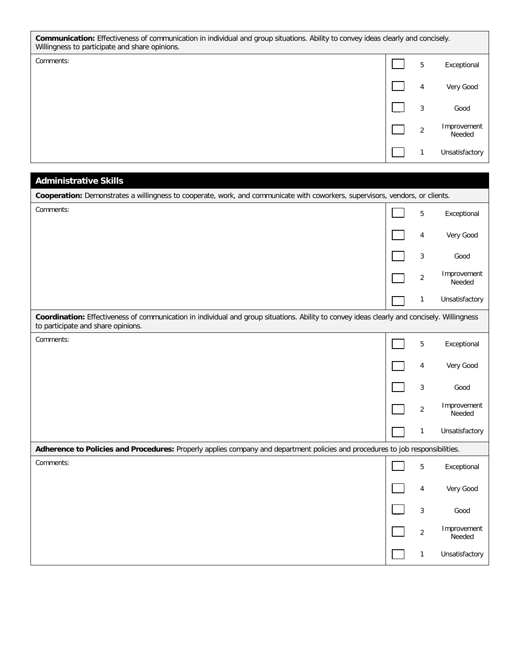**Communication:** Effectiveness of communication in individual and group situations. Ability to convey ideas clearly and concisely. Willingness to participate and share opinions.

| Comments: | 5              | Exceptional           |
|-----------|----------------|-----------------------|
|           | 4              | Very Good             |
|           | 3              | Good                  |
|           | $\overline{2}$ | Improvement<br>Needed |
|           |                | Unsatisfactory        |

4 Very Good

\_\_ <sup>2</sup> Improvement Needed

\_\_ 3 Good

# **Cooperation:** Demonstrates a willingness to cooperate, work, and communicate with coworkers, supervisors, vendors, or clients. comments: 5 Exceptional Exceptional Exceptional Exceptional Exceptional Exceptional Exceptional Exceptional Exceptional Exceptional Exceptional Exceptional Exceptional Exceptional Exceptional Exceptional Exceptional Except to participate and share opinions.

**Administrative Skills**

|                                                                                                                                                                                   | 1              | Unsatisfactory        |
|-----------------------------------------------------------------------------------------------------------------------------------------------------------------------------------|----------------|-----------------------|
| Coordination: Effectiveness of communication in individual and group situations. Ability to convey ideas clearly and concisely. Willingness<br>to participate and share opinions. |                |                       |
| Comments:                                                                                                                                                                         | 5              | Exceptional           |
|                                                                                                                                                                                   | 4              | Very Good             |
|                                                                                                                                                                                   | 3              | Good                  |
|                                                                                                                                                                                   | 2              | Improvement<br>Needed |
|                                                                                                                                                                                   | 1              | Unsatisfactory        |
| Adherence to Policies and Procedures: Properly applies company and department policies and procedures to job responsibilities.                                                    |                |                       |
| Comments:                                                                                                                                                                         | 5              | Exceptional           |
|                                                                                                                                                                                   | 4              | Very Good             |
|                                                                                                                                                                                   | 3              | Good                  |
|                                                                                                                                                                                   | $\overline{2}$ | Improvement<br>Needed |
|                                                                                                                                                                                   |                | Unsatisfactory        |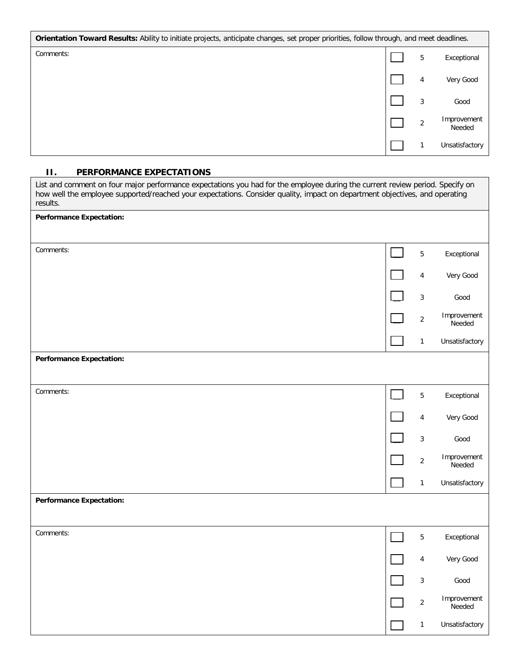| Orientation Toward Results: Ability to initiate projects, anticipate changes, set proper priorities, follow through, and meet deadlines. |          |                       |
|------------------------------------------------------------------------------------------------------------------------------------------|----------|-----------------------|
| Comments:                                                                                                                                | 5        | Exceptional           |
|                                                                                                                                          | 4        | Very Good             |
|                                                                                                                                          | 3        | Good                  |
|                                                                                                                                          | $\Omega$ | Improvement<br>Needed |
|                                                                                                                                          |          | Unsatisfactory        |

## **II. PERFORMANCE EXPECTATIONS**

| List and comment on four major performance expectations you had for the employee during the current review period. Specify on<br>how well the employee supported/reached your expectations. Consider quality, impact on department objectives, and operating<br>results. |                |                       |
|--------------------------------------------------------------------------------------------------------------------------------------------------------------------------------------------------------------------------------------------------------------------------|----------------|-----------------------|
| <b>Performance Expectation:</b>                                                                                                                                                                                                                                          |                |                       |
|                                                                                                                                                                                                                                                                          |                |                       |
| Comments:                                                                                                                                                                                                                                                                | 5              | Exceptional           |
|                                                                                                                                                                                                                                                                          | 4              | Very Good             |
|                                                                                                                                                                                                                                                                          | $\sqrt{3}$     | Good                  |
|                                                                                                                                                                                                                                                                          | $\overline{2}$ | Improvement<br>Needed |
|                                                                                                                                                                                                                                                                          | $\mathbf{1}$   | Unsatisfactory        |
| <b>Performance Expectation:</b>                                                                                                                                                                                                                                          |                |                       |
|                                                                                                                                                                                                                                                                          |                |                       |
| Comments:                                                                                                                                                                                                                                                                | 5              | Exceptional           |
|                                                                                                                                                                                                                                                                          | 4              | Very Good             |
|                                                                                                                                                                                                                                                                          | $\sqrt{3}$     | Good                  |
|                                                                                                                                                                                                                                                                          | $\sqrt{2}$     | Improvement<br>Needed |
|                                                                                                                                                                                                                                                                          | $\mathbf{1}$   | Unsatisfactory        |
| <b>Performance Expectation:</b>                                                                                                                                                                                                                                          |                |                       |
|                                                                                                                                                                                                                                                                          |                |                       |
| Comments:                                                                                                                                                                                                                                                                | 5              | Exceptional           |
|                                                                                                                                                                                                                                                                          | 4              | Very Good             |
|                                                                                                                                                                                                                                                                          | 3              | Good                  |
|                                                                                                                                                                                                                                                                          | $\overline{c}$ | Improvement<br>Needed |
|                                                                                                                                                                                                                                                                          | $\mathbf{1}$   | Unsatisfactory        |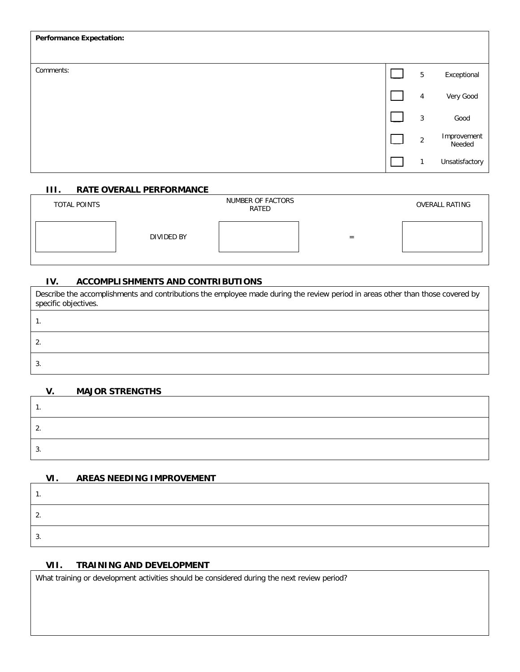| <b>Performance Expectation:</b> |                 |                       |
|---------------------------------|-----------------|-----------------------|
|                                 |                 |                       |
| Comments:                       | $5\phantom{.0}$ | Exceptional           |
|                                 | 4               | Very Good             |
|                                 | $\mathbf{3}$    | Good                  |
|                                 | $\overline{2}$  | Improvement<br>Needed |
|                                 | $\mathbf{1}$    | Unsatisfactory        |

# **III. RATE OVERALL PERFORMANCE**

| TOTAL POINTS |            | NUMBER OF FACTORS<br>RATED |   | <b>OVERALL RATING</b> |
|--------------|------------|----------------------------|---|-----------------------|
|              | DIVIDED BY |                            | - |                       |

# **IV. ACCOMPLISHMENTS AND CONTRIBUTIONS**

| Describe the accomplishments and contributions the employee made during the review period in areas other than those covered by<br>specific objectives. |
|--------------------------------------------------------------------------------------------------------------------------------------------------------|
|                                                                                                                                                        |
| $\mathbf{2}$                                                                                                                                           |
| 3.                                                                                                                                                     |

# **V. MAJOR STRENGTHS** 1. 2. 3.

# **VI. AREAS NEEDING IMPROVEMENT**

| . . |  |
|-----|--|
|     |  |

# **VII. TRAINING AND DEVELOPMENT**

What training or development activities should be considered during the next review period?